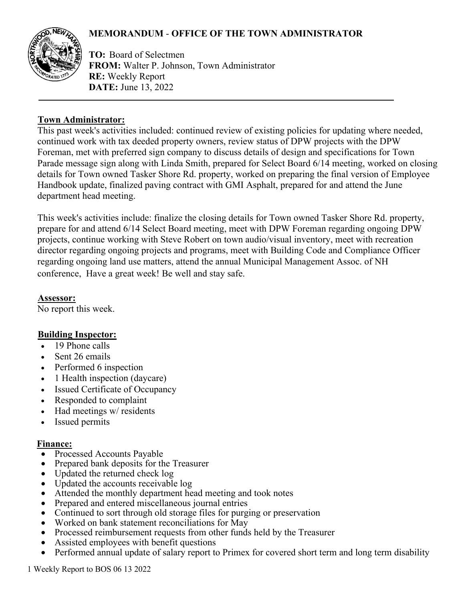# **MEMORANDUM** - **OFFICE OF THE TOWN ADMINISTRATOR**



**TO:** Board of Selectmen **FROM:** Walter P. Johnson, Town Administrator **RE:** Weekly Report **DATE:** June 13, 2022

### **Town Administrator:**

This past week's activities included: continued review of existing policies for updating where needed, continued work with tax deeded property owners, review status of DPW projects with the DPW Foreman, met with preferred sign company to discuss details of design and specifications for Town Parade message sign along with Linda Smith, prepared for Select Board 6/14 meeting, worked on closing details for Town owned Tasker Shore Rd. property, worked on preparing the final version of Employee Handbook update, finalized paving contract with GMI Asphalt, prepared for and attend the June department head meeting.

This week's activities include: finalize the closing details for Town owned Tasker Shore Rd. property, prepare for and attend 6/14 Select Board meeting, meet with DPW Foreman regarding ongoing DPW projects, continue working with Steve Robert on town audio/visual inventory, meet with recreation director regarding ongoing projects and programs, meet with Building Code and Compliance Officer regarding ongoing land use matters, attend the annual Municipal Management Assoc. of NH conference, Have a great week! Be well and stay safe.

### **Assessor:**

No report this week.

## **Building Inspector:**

- 19 Phone calls
- Sent 26 emails
- Performed 6 inspection
- 1 Health inspection (daycare)
- Issued Certificate of Occupancy
- Responded to complaint
- Had meetings w/ residents
- Issued permits

#### **Finance:**

- Processed Accounts Payable
- Prepared bank deposits for the Treasurer
- Updated the returned check log
- Updated the accounts receivable log
- Attended the monthly department head meeting and took notes
- Prepared and entered miscellaneous journal entries
- Continued to sort through old storage files for purging or preservation
- Worked on bank statement reconciliations for May
- Processed reimbursement requests from other funds held by the Treasurer
- Assisted employees with benefit questions
- Performed annual update of salary report to Primex for covered short term and long term disability

1 Weekly Report to BOS 06 13 2022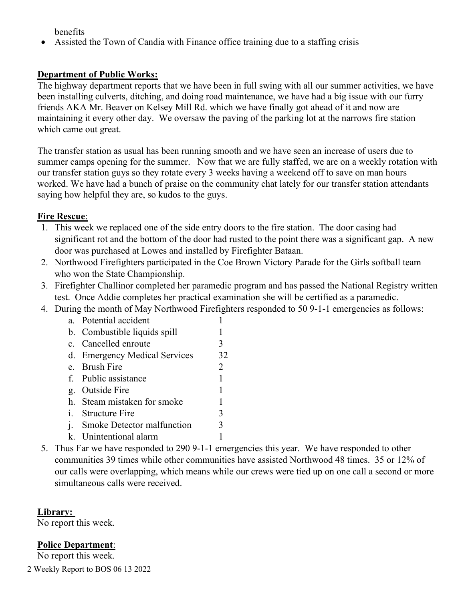benefits

• Assisted the Town of Candia with Finance office training due to a staffing crisis

# **Department of Public Works:**

The highway department reports that we have been in full swing with all our summer activities, we have been installing culverts, ditching, and doing road maintenance, we have had a big issue with our furry friends AKA Mr. Beaver on Kelsey Mill Rd. which we have finally got ahead of it and now are maintaining it every other day. We oversaw the paving of the parking lot at the narrows fire station which came out great.

The transfer station as usual has been running smooth and we have seen an increase of users due to summer camps opening for the summer. Now that we are fully staffed, we are on a weekly rotation with our transfer station guys so they rotate every 3 weeks having a weekend off to save on man hours worked. We have had a bunch of praise on the community chat lately for our transfer station attendants saying how helpful they are, so kudos to the guys.

## **Fire Rescue**:

- 1. This week we replaced one of the side entry doors to the fire station. The door casing had significant rot and the bottom of the door had rusted to the point there was a significant gap. A new door was purchased at Lowes and installed by Firefighter Bataan.
- 2. Northwood Firefighters participated in the Coe Brown Victory Parade for the Girls softball team who won the State Championship.
- 3. Firefighter Challinor completed her paramedic program and has passed the National Registry written test. Once Addie completes her practical examination she will be certified as a paramedic.
- 4. During the month of May Northwood Firefighters responded to 50 9-1-1 emergencies as follows:
	- a. Potential accident 1
	- b. Combustible liquids spill 1 c. Cancelled enroute 3 d. Emergency Medical Services 32 e. Brush Fire 2 f. Public assistance 1 g. Outside Fire 1 h. Steam mistaken for smoke 1 i. Structure Fire 3 j. Smoke Detector malfunction 3 k. Unintentional alarm 1
- 5. Thus Far we have responded to 290 9-1-1 emergencies this year. We have responded to other communities 39 times while other communities have assisted Northwood 48 times. 35 or 12% of our calls were overlapping, which means while our crews were tied up on one call a second or more simultaneous calls were received.

## **Library:**

No report this week.

# **Police Department**:

No report this week.

2 Weekly Report to BOS 06 13 2022